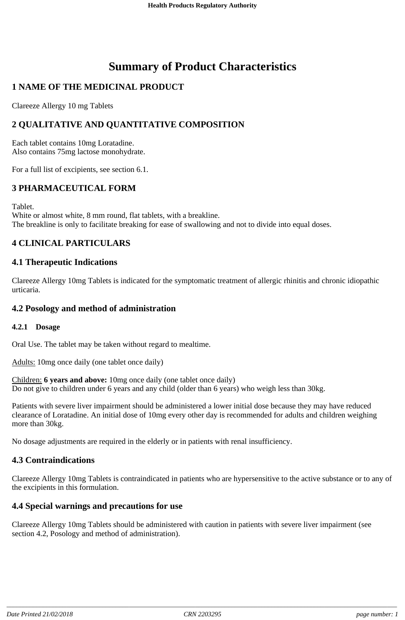# **Summary of Product Characteristics**

# **1 NAME OF THE MEDICINAL PRODUCT**

Clareeze Allergy 10 mg Tablets

# **2 QUALITATIVE AND QUANTITATIVE COMPOSITION**

Each tablet contains 10mg Loratadine. Also contains 75mg lactose monohydrate.

For a full list of excipients, see section 6.1.

# **3 PHARMACEUTICAL FORM**

Tablet.

White or almost white, 8 mm round, flat tablets, with a breakline. The breakline is only to facilitate breaking for ease of swallowing and not to divide into equal doses.

# **4 CLINICAL PARTICULARS**

#### **4.1 Therapeutic Indications**

Clareeze Allergy 10mg Tablets is indicated for the symptomatic treatment of allergic rhinitis and chronic idiopathic urticaria.

#### **4.2 Posology and method of administration**

#### **4.2.1 Dosage**

Oral Use. The tablet may be taken without regard to mealtime.

Adults: 10mg once daily (one tablet once daily)

Children: **6 years and above:** 10mg once daily (one tablet once daily) Do not give to children under 6 years and any child (older than 6 years) who weigh less than 30kg.

Patients with severe liver impairment should be administered a lower initial dose because they may have reduced clearance of Loratadine. An initial dose of 10mg every other day is recommended for adults and children weighing more than 30kg.

No dosage adjustments are required in the elderly or in patients with renal insufficiency.

#### **4.3 Contraindications**

Clareeze Allergy 10mg Tablets is contraindicated in patients who are hypersensitive to the active substance or to any of the excipients in this formulation.

#### **4.4 Special warnings and precautions for use**

Clareeze Allergy 10mg Tablets should be administered with caution in patients with severe liver impairment (see section 4.2, Posology and method of administration).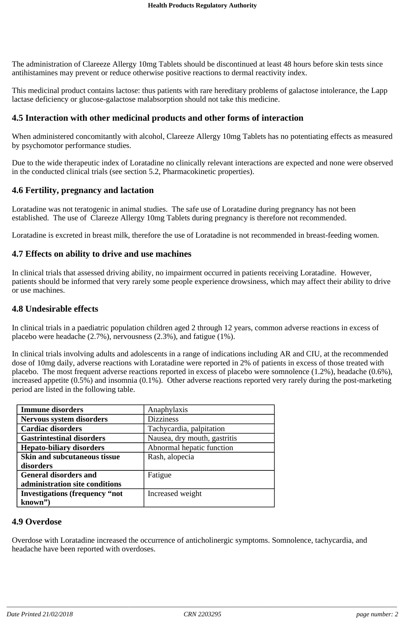The administration of Clareeze Allergy 10mg Tablets should be discontinued at least 48 hours before skin tests since antihistamines may prevent or reduce otherwise positive reactions to dermal reactivity index.

This medicinal product contains lactose: thus patients with rare hereditary problems of galactose intolerance, the Lapp lactase deficiency or glucose-galactose malabsorption should not take this medicine.

## **4.5 Interaction with other medicinal products and other forms of interaction**

When administered concomitantly with alcohol, Clareeze Allergy 10mg Tablets has no potentiating effects as measured by psychomotor performance studies.

Due to the wide therapeutic index of Loratadine no clinically relevant interactions are expected and none were observed in the conducted clinical trials (see section 5.2, Pharmacokinetic properties).

#### **4.6 Fertility, pregnancy and lactation**

Loratadine was not teratogenic in animal studies. The safe use of Loratadine during pregnancy has not been established. The use of Clareeze Allergy 10mg Tablets during pregnancy is therefore not recommended.

Loratadine is excreted in breast milk, therefore the use of Loratadine is not recommended in breast-feeding women.

#### **4.7 Effects on ability to drive and use machines**

In clinical trials that assessed driving ability, no impairment occurred in patients receiving Loratadine. However, patients should be informed that very rarely some people experience drowsiness, which may affect their ability to drive or use machines.

#### **4.8 Undesirable effects**

In clinical trials in a paediatric population children aged 2 through 12 years, common adverse reactions in excess of placebo were headache (2.7%), nervousness (2.3%), and fatigue (1%).

In clinical trials involving adults and adolescents in a range of indications including AR and CIU, at the recommended dose of 10mg daily, adverse reactions with Loratadine were reported in 2% of patients in excess of those treated with placebo. The most frequent adverse reactions reported in excess of placebo were somnolence (1.2%), headache (0.6%), increased appetite (0.5%) and insomnia (0.1%). Other adverse reactions reported very rarely during the post-marketing period are listed in the following table.

| <b>Immune disorders</b>               | Anaphylaxis                  |
|---------------------------------------|------------------------------|
| Nervous system disorders              | <b>Dizziness</b>             |
| <b>Cardiac disorders</b>              | Tachycardia, palpitation     |
| <b>Gastrintestinal disorders</b>      | Nausea, dry mouth, gastritis |
| <b>Hepato-biliary disorders</b>       | Abnormal hepatic function    |
| <b>Skin and subcutaneous tissue</b>   | Rash, alopecia               |
| disorders                             |                              |
| <b>General disorders and</b>          | Fatigue                      |
| administration site conditions        |                              |
| <b>Investigations (frequency "not</b> | Increased weight             |
| known")                               |                              |

#### **4.9 Overdose**

Overdose with Loratadine increased the occurrence of anticholinergic symptoms. Somnolence, tachycardia, and headache have been reported with overdoses.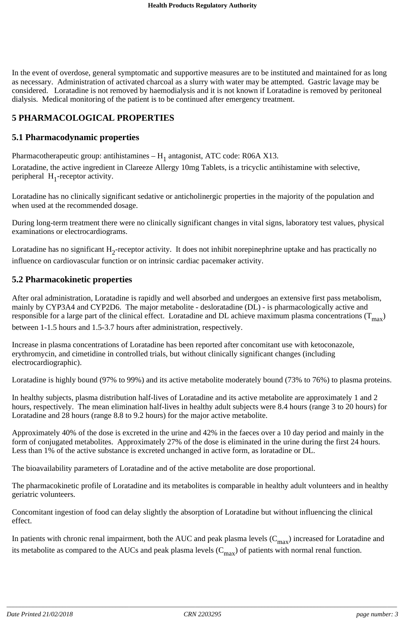In the event of overdose, general symptomatic and supportive measures are to be instituted and maintained for as long as necessary. Administration of activated charcoal as a slurry with water may be attempted. Gastric lavage may be considered. Loratadine is not removed by haemodialysis and it is not known if Loratadine is removed by peritoneal dialysis. Medical monitoring of the patient is to be continued after emergency treatment.

# **5 PHARMACOLOGICAL PROPERTIES**

## **5.1 Pharmacodynamic properties**

Pharmacotherapeutic group: antihistamines  $- H_1$  antagonist, ATC code: R06A X13.

Loratadine, the active ingredient in Clareeze Allergy 10mg Tablets, is a tricyclic antihistamine with selective, peripheral  $H_1$ -receptor activity.

Loratadine has no clinically significant sedative or anticholinergic properties in the majority of the population and when used at the recommended dosage.

During long-term treatment there were no clinically significant changes in vital signs, laboratory test values, physical examinations or electrocardiograms.

Loratadine has no significant  $H_2$ -receptor activity. It does not inhibit norepinephrine uptake and has practically no influence on cardiovascular function or on intrinsic cardiac pacemaker activity.

#### **5.2 Pharmacokinetic properties**

After oral administration, Loratadine is rapidly and well absorbed and undergoes an extensive first pass metabolism, mainly by CYP3A4 and CYP2D6. The major metabolite - desloratadine (DL) - is pharmacologically active and responsible for a large part of the clinical effect. Loratadine and DL achieve maximum plasma concentrations  $(T_{max})$ between 1-1.5 hours and 1.5-3.7 hours after administration, respectively.

Increase in plasma concentrations of Loratadine has been reported after concomitant use with ketoconazole, erythromycin, and cimetidine in controlled trials, but without clinically significant changes (including electrocardiographic).

Loratadine is highly bound (97% to 99%) and its active metabolite moderately bound (73% to 76%) to plasma proteins.

In healthy subjects, plasma distribution half-lives of Loratadine and its active metabolite are approximately 1 and 2 hours, respectively. The mean elimination half-lives in healthy adult subjects were 8.4 hours (range 3 to 20 hours) for Loratadine and 28 hours (range 8.8 to 9.2 hours) for the major active metabolite.

Approximately 40% of the dose is excreted in the urine and 42% in the faeces over a 10 day period and mainly in the form of conjugated metabolites. Approximately 27% of the dose is eliminated in the urine during the first 24 hours. Less than 1% of the active substance is excreted unchanged in active form, as loratadine or DL.

The bioavailability parameters of Loratadine and of the active metabolite are dose proportional.

The pharmacokinetic profile of Loratadine and its metabolites is comparable in healthy adult volunteers and in healthy geriatric volunteers.

Concomitant ingestion of food can delay slightly the absorption of Loratadine but without influencing the clinical effect.

In patients with chronic renal impairment, both the AUC and peak plasma levels  $(C_{max})$  increased for Loratadine and its metabolite as compared to the AUCs and peak plasma levels  $(C_{max})$  of patients with normal renal function.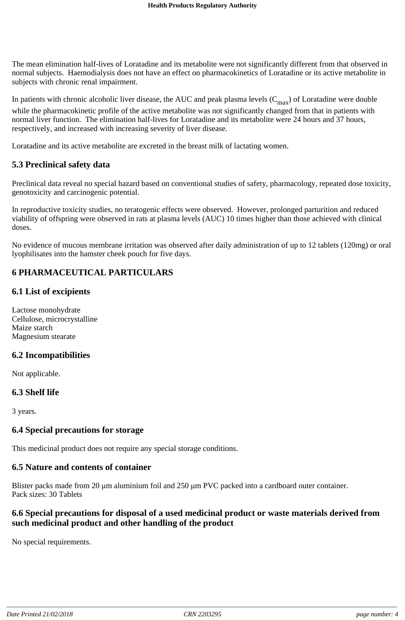The mean elimination half-lives of Loratadine and its metabolite were not significantly different from that observed in normal subjects. Haemodialysis does not have an effect on pharmacokinetics of Loratadine or its active metabolite in subjects with chronic renal impairment.

In patients with chronic alcoholic liver disease, the AUC and peak plasma levels  $(C_{\text{max}})$  of Loratadine were double while the pharmacokinetic profile of the active metabolite was not significantly changed from that in patients with normal liver function. The elimination half-lives for Loratadine and its metabolite were 24 hours and 37 hours, respectively, and increased with increasing severity of liver disease.

Loratadine and its active metabolite are excreted in the breast milk of lactating women.

## **5.3 Preclinical safety data**

Preclinical data reveal no special hazard based on conventional studies of safety, pharmacology, repeated dose toxicity, genotoxicity and carcinogenic potential.

In reproductive toxicity studies, no teratogenic effects were observed. However, prolonged parturition and reduced viability of offspring were observed in rats at plasma levels (AUC) 10 times higher than those achieved with clinical doses.

No evidence of mucous membrane irritation was observed after daily administration of up to 12 tablets (120mg) or oral lyophilisates into the hamster cheek pouch for five days.

# **6 PHARMACEUTICAL PARTICULARS**

#### **6.1 List of excipients**

Lactose monohydrate Cellulose, microcrystalline Maize starch Magnesium stearate

#### **6.2 Incompatibilities**

Not applicable.

#### **6.3 Shelf life**

3 years.

#### **6.4 Special precautions for storage**

This medicinal product does not require any special storage conditions.

#### **6.5 Nature and contents of container**

Blister packs made from 20  $\mu$ m aluminium foil and 250  $\mu$ m PVC packed into a cardboard outer container. Pack sizes: 30 Tablets

#### **6.6 Special precautions for disposal of a used medicinal product or waste materials derived from such medicinal product and other handling of the product**

No special requirements.